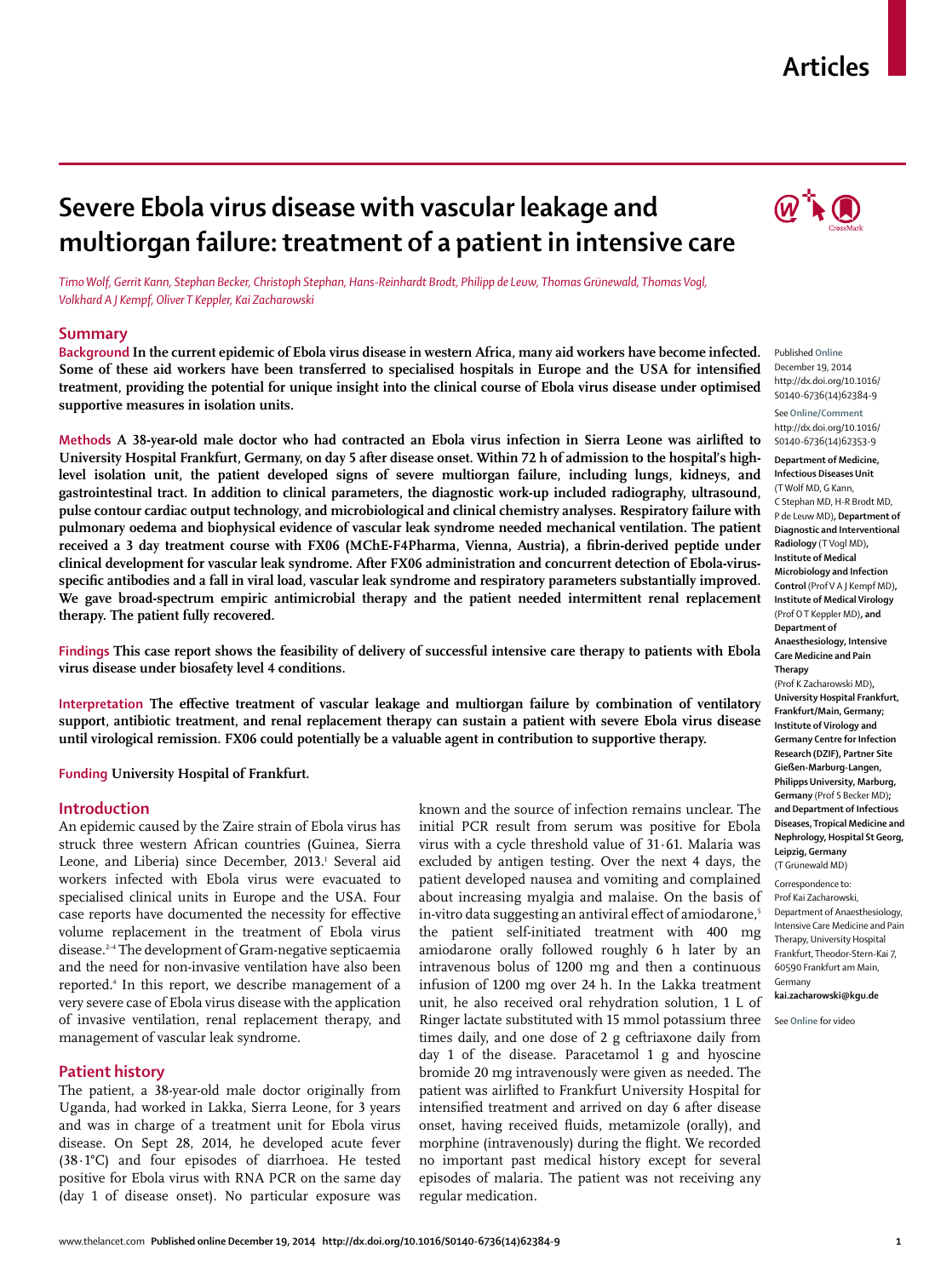#### www.thelancet.com**Published online December 19, 2014 http://dx.doi.org/10.1016/S0140-6736(14)62384-9 1**

# **Articles**

# **Severe Ebola virus disease with vascular leakage and multiorgan failure: treatment of a patient in intensive care**

*Timo Wolf, Gerrit Kann, Stephan Becker, Christoph Stephan, Hans-Reinhardt Brodt, Philipp de Leuw, Thomas Grünewald, Thomas Vogl, Volkhard A J Kempf, Oliver T Keppler, Kai Zacharowski*

#### **Summary**

**Background In the current epidemic of Ebola virus disease in western Africa, many aid workers have become infected.**  Some of these aid workers have been transferred to specialised hospitals in Europe and the USA for intensified **treatment, providing the potential for unique insight into the clinical course of Ebola virus disease under optimised supportive measures in isolation units.**

**Methods A 38-year-old male doctor who had contracted an Ebola virus infection in Sierra Leone was airlifted to University Hospital Frankfurt, Germany, on day 5 after disease onset. Within 72 h of admission to the hospital's highlevel isolation unit, the patient developed signs of severe multiorgan failure, including lungs, kidneys, and gastrointestinal tract. In addition to clinical parameters, the diagnostic work-up included radiography, ultrasound, pulse contour cardiac output technology, and microbiological and clinical chemistry analyses. Respiratory failure with pulmonary oedema and biophysical evidence of vascular leak syndrome needed mechanical ventilation. The patient**  received a 3 day treatment course with FX06 (MChE-F4Pharma, Vienna, Austria), a fibrin-derived peptide under **clinical development for vascular leak syndrome. After FX06 administration and concurrent detection of Ebola-virus**specific antibodies and a fall in viral load, vascular leak syndrome and respiratory parameters substantially improved. **We gave broad-spectrum empiric antimicrobial therapy and the patient needed intermittent renal replacement therapy. The patient fully recovered.**

**Findings This case report shows the feasibility of delivery of successful intensive care therapy to patients with Ebola virus disease under biosafety level 4 conditions.**

Interpretation The effective treatment of vascular leakage and multiorgan failure by combination of ventilatory **support, antibiotic treatment, and renal replacement therapy can sustain a patient with severe Ebola virus disease until virological remission. FX06 could potentially be a valuable agent in contribution to supportive therapy.**

**Funding University Hospital of Frankfurt.**

# **Introduction**

An epidemic caused by the Zaire strain of Ebola virus has struck three western African countries (Guinea, Sierra Leone, and Liberia) since December, 2013.<sup>1</sup> Several aid workers infected with Ebola virus were evacuated to specialised clinical units in Europe and the USA. Four case reports have documented the necessity for effective volume replacement in the treatment of Ebola virus disease.2–4 The development of Gram-negative septicaemia and the need for non-invasive ventilation have also been reported.4 In this report, we describe management of a very severe case of Ebola virus disease with the application of invasive ventilation, renal replacement therapy, and management of vascular leak syndrome.

#### **Patient history**

The patient, a 38-year-old male doctor originally from Uganda, had worked in Lakka, Sierra Leone, for 3 years and was in charge of a treatment unit for Ebola virus disease. On Sept 28, 2014, he developed acute fever (38·1°C) and four episodes of diarrhoea. He tested positive for Ebola virus with RNA PCR on the same day (day 1 of disease onset). No particular exposure was known and the source of infection remains unclear. The initial PCR result from serum was positive for Ebola virus with a cycle threshold value of 31·61. Malaria was excluded by antigen testing. Over the next 4 days, the patient developed nausea and vomiting and complained about increasing myalgia and malaise. On the basis of in-vitro data suggesting an antiviral effect of amiodarone,<sup>5</sup> the patient self-initiated treatment with 400 mg amiodarone orally followed roughly 6 h later by an intravenous bolus of 1200 mg and then a continuous infusion of 1200 mg over 24 h. In the Lakka treatment unit, he also received oral rehydration solution, 1 L of Ringer lactate substituted with 15 mmol potassium three times daily, and one dose of 2 g ceftriaxone daily from day 1 of the disease. Paracetamol 1 g and hyoscine bromide 20 mg intravenously were given as needed. The patient was airlifted to Frankfurt University Hospital for intensified treatment and arrived on day 6 after disease onset, having received fluids, metamizole (orally), and morphine (intravenously) during the flight. We recorded no important past medical history except for several episodes of malaria. The patient was not receiving any regular medication.



Published **Online** December 19, 2014 http://dx.doi.org/10.1016/ S0140-6736(14)62384-9

See**Online/Comment** http://dx.doi.org/10.1016/ S0140-6736(14)62353-9

**Department of Medicine, Infectious Diseases Unit**  (T Wolf MD, G Kann, C Stephan MD, H-R Brodt MD, P de Leuw MD)**, Department of Diagnostic and Interventional Radiology** (T Vogl MD)**, Institute of Medical Microbiology and Infection Control** (Prof V A J Kempf MD)**, Institute of Medical Virology**  (Prof O T Keppler MD)**, and Department of Anaesthesiology, Intensive Care Medicine and Pain Therapy** 

(Prof K Zacharowski MD)**, University Hospital Frankfurt, Frankfurt/Main, Germany; Institute of Virology and Germany Centre for Infection Research (DZIF), Partner Site Gießen-Marburg-Langen, Philipps University, Marburg, Germany** (Prof S Becker MD)**; and Department of Infectious Diseases, Tropical Medicine and Nephrology, Hospital St Georg, Leipzig, Germany**  (T Grünewald MD)

Correspondence to: Prof Kai Zacharowski, Department of Anaesthesiology, Intensive Care Medicine and Pain Therapy, University Hospital Frankfurt, Theodor-Stern-Kai 7, 60590 Frankfurt am Main, Germany **kai.zacharowski@kgu.de**

See **Online** for video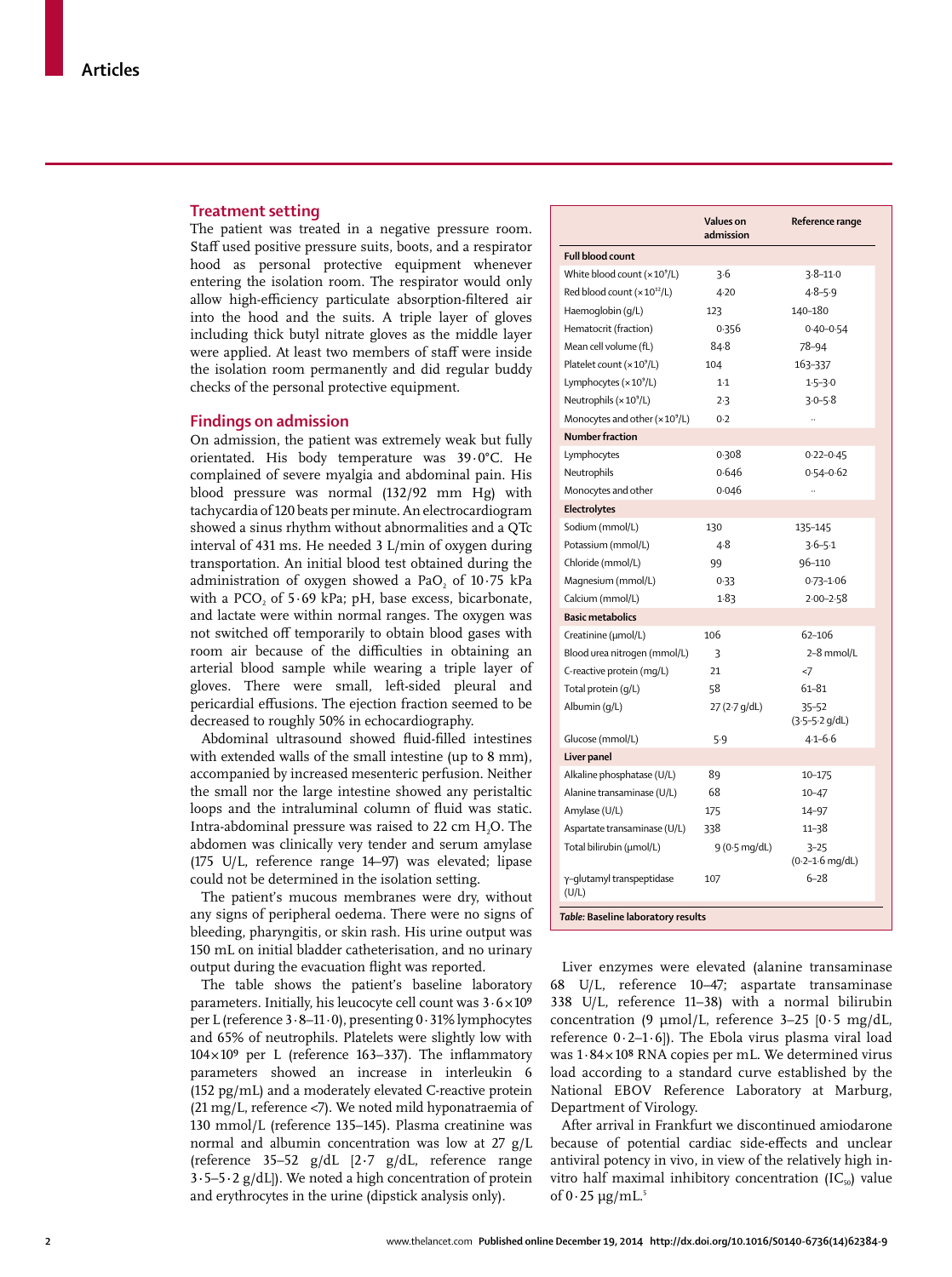#### **Treatment setting**

The patient was treated in a negative pressure room. Staff used positive pressure suits, boots, and a respirator hood as personal protective equipment whenever entering the isolation room. The respirator would only allow high-efficiency particulate absorption-filtered air into the hood and the suits. A triple layer of gloves including thick butyl nitrate gloves as the middle layer were applied. At least two members of staff were inside the isolation room permanently and did regular buddy checks of the personal protective equipment.

#### **Findings on admission**

On admission, the patient was extremely weak but fully orientated. His body temperature was 39·0°C. He complained of severe myalgia and abdominal pain. His blood pressure was normal (132/92 mm Hg) with tachycardia of 120 beats per minute. An electrocardiogram showed a sinus rhythm without abnormalities and a QTc interval of 431 ms. He needed 3 L/min of oxygen during transportation. An initial blood test obtained during the administration of oxygen showed a PaO<sub>2</sub> of  $10.75$  kPa with a PCO, of  $5.69$  kPa; pH, base excess, bicarbonate, and lactate were within normal ranges. The oxygen was not switched off temporarily to obtain blood gases with room air because of the difficulties in obtaining an arterial blood sample while wearing a triple layer of gloves. There were small, left-sided pleural and pericardial effusions. The ejection fraction seemed to be decreased to roughly 50% in echocardiography.

Abdominal ultrasound showed fluid-filled intestines with extended walls of the small intestine (up to 8 mm), accompanied by increased mesenteric perfusion. Neither the small nor the large intestine showed any peristaltic loops and the intraluminal column of fluid was static. Intra-abdominal pressure was raised to 22 cm H<sub>2</sub>O. The abdomen was clinically very tender and serum amylase (175 U/L, reference range 14–97) was elevated; lipase could not be determined in the isolation setting.

The patient's mucous membranes were dry, without any signs of peripheral oedema. There were no signs of bleeding, pharyngitis, or skin rash. His urine output was 150 mL on initial bladder catheterisation, and no urinary output during the evacuation flight was reported.

The table shows the patient's baseline laboratory parameters. Initially, his leucocyte cell count was  $3.6 \times 10^9$ per L (reference 3·8–11·0), presenting 0·31% lymphocytes and 65% of neutrophils. Platelets were slightly low with  $104 \times 10^9$  per L (reference 163-337). The inflammatory parameters showed an increase in interleukin 6 (152 pg/mL) and a moderately elevated C-reactive protein (21 mg/L, reference <7). We noted mild hyponatraemia of 130 mmol/L (reference 135–145). Plasma creatinine was normal and albumin concentration was low at 27 g/L (reference 35–52 g/dL [2**·**7 g/dL, reference range 3**·**5–5**·**2 g/dL]). We noted a high concentration of protein and erythrocytes in the urine (dipstick analysis only).

|                                           | Values on<br>admission | Reference range                         |
|-------------------------------------------|------------------------|-----------------------------------------|
| Full blood count                          |                        |                                         |
| White blood count $(x 10^9/L)$            | 3.6                    | $3.8 - 11.0$                            |
| Red blood count $(x 10^{12}/L)$           | 4.20                   | $4 - 8 - 5 - 9$                         |
| Haemoglobin (g/L)                         | 123                    | 140-180                                 |
| Hematocrit (fraction)                     | 0.356                  | $0.40 - 0.54$                           |
| Mean cell volume (fL)                     | $84 - 8$               | 78-94                                   |
| Platelet count (× 10 <sup>9</sup> /L)     | 104                    | 163-337                                 |
| Lymphocytes $(x 109/L)$                   | $1-1$                  | $1.5 - 3.0$                             |
| Neutrophils $(x 109/L)$                   | 2.3                    | $3.0 - 5.8$                             |
| Monocytes and other (×10 <sup>9</sup> /L) | 0.2                    |                                         |
| <b>Number fraction</b>                    |                        |                                         |
| Lymphocytes                               | 0.308                  | $0.22 - 0.45$                           |
| Neutrophils                               | 0.646                  | $0.54 - 0.62$                           |
| Monocytes and other                       | 0.046                  | $\ddot{\phantom{a}}$                    |
| Electrolytes                              |                        |                                         |
| Sodium (mmol/L)                           | 130                    | 135-145                                 |
| Potassium (mmol/L)                        | 4.8                    | $3.6 - 5.1$                             |
| Chloride (mmol/L)                         | 99                     | 96-110                                  |
| Magnesium (mmol/L)                        | 0.33                   | $0.73 - 1.06$                           |
| Calcium (mmol/L)                          | 1.83                   | $2.00 - 2.58$                           |
| <b>Basic metabolics</b>                   |                        |                                         |
| Creatinine (µmol/L)                       | 106                    | 62-106                                  |
| Blood urea nitrogen (mmol/L)              | 3                      | 2-8 mmol/L                              |
| C-reactive protein (mq/L)                 | 21                     | <7                                      |
| Total protein (g/L)                       | 58                     | 61-81                                   |
| Albumin (g/L)                             | 27 (2.7 g/dL)          | $35 - 52$<br>$(3.5 - 5.2 \text{ g/dL})$ |
| Glucose (mmol/L)                          | 5.9                    | $4 - 1 - 6 - 6$                         |
| Liver panel                               |                        |                                         |
| Alkaline phosphatase (U/L)                | 89                     | 10-175                                  |
| Alanine transaminase (U/L)                | 68                     | $10 - 47$                               |
| Amylase (U/L)                             | 175                    | 14-97                                   |
| Aspartate transaminase (U/L)              | 338                    | $11 - 38$                               |
| Total bilirubin (umol/L)                  | $9(0.5 \text{ mg/dL})$ | $3 - 25$<br>$(0.2 - 1.6$ mg/dL)         |
| γ-glutamyl transpeptidase<br>(U/L)        | 107                    | $6 - 28$                                |

*Table:* **Baseline laboratory results**

Liver enzymes were elevated (alanine transaminase 68 U/L, reference 10–47; aspartate transaminase 338 U/L, reference 11–38) with a normal bilirubin concentration (9 μmol/L, reference 3–25 [0·5 mg/dL, reference  $0.2-1.6$ ]). The Ebola virus plasma viral load was  $1.84 \times 10^8$  RNA copies per mL. We determined virus load according to a standard curve established by the National EBOV Reference Laboratory at Marburg, Department of Virology.

After arrival in Frankfurt we discontinued amiodarone because of potential cardiac side-effects and unclear antiviral potency in vivo, in view of the relatively high invitro half maximal inhibitory concentration  $(IC_{50})$  value of  $0.25 \mu g/mL^5$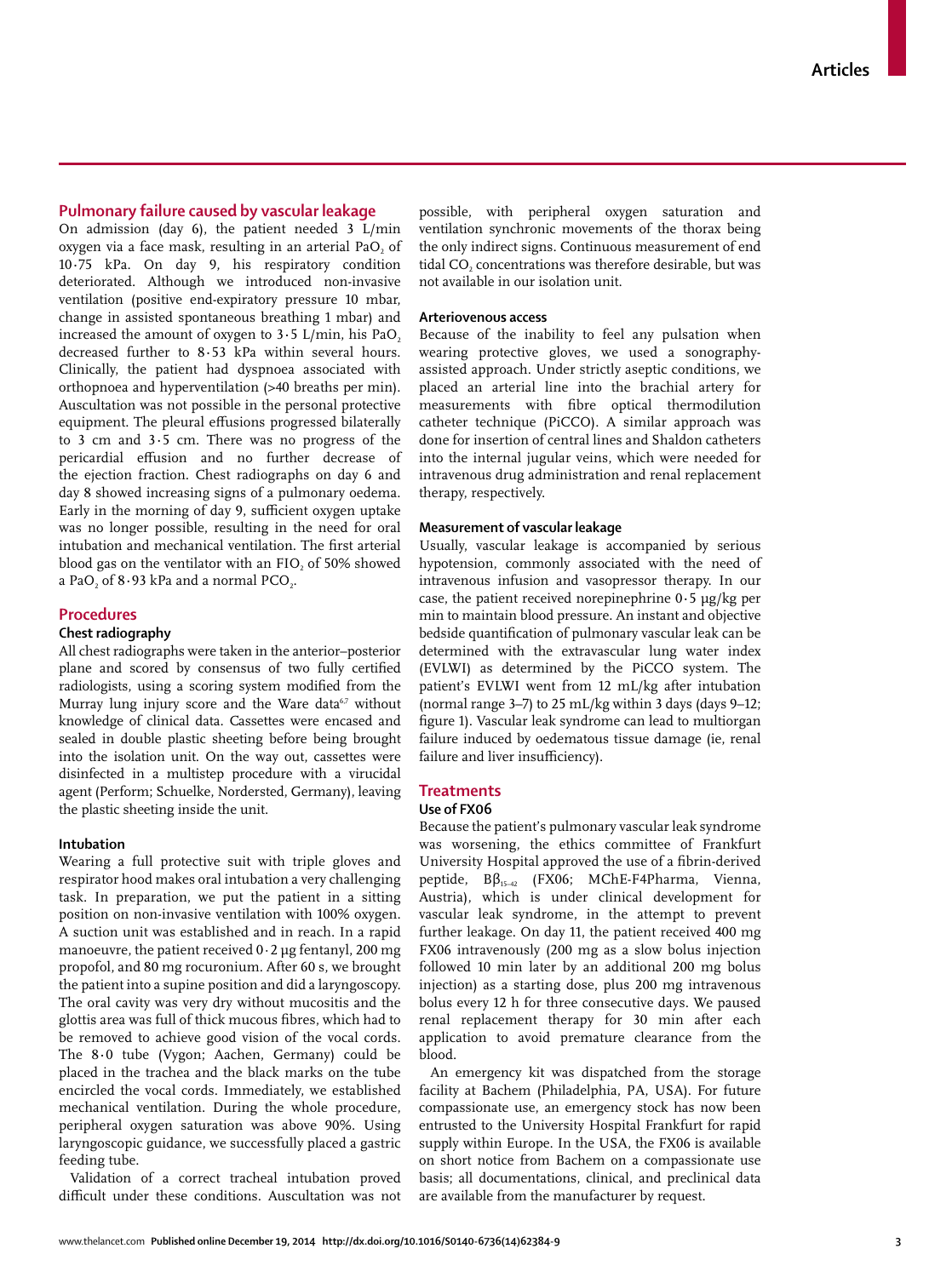# **Pulmonary failure caused by vascular leakage**

On admission (day 6), the patient needed 3 L/min oxygen via a face mask, resulting in an arterial PaO, of 10**·**75 kPa. On day 9, his respiratory condition deteriorated. Although we introduced non-invasive ventilation (positive end-expiratory pressure 10 mbar, change in assisted spontaneous breathing 1 mbar) and increased the amount of oxygen to  $3.5$  L/min, his PaO<sub>2</sub> decreased further to 8**·**53 kPa within several hours. Clinically, the patient had dyspnoea associated with orthopnoea and hyperventilation (>40 breaths per min). Auscultation was not possible in the personal protective equipment. The pleural effusions progressed bilaterally to 3 cm and 3**·**5 cm. There was no progress of the pericardial effusion and no further decrease of the ejection fraction. Chest radiographs on day 6 and day 8 showed increasing signs of a pulmonary oedema. Early in the morning of day 9, sufficient oxygen uptake was no longer possible, resulting in the need for oral intubation and mechanical ventilation. The first arterial blood gas on the ventilator with an FIO, of 50% showed a PaO<sub>2</sub> of 8.93 kPa and a normal PCO<sub>2</sub>.

# **Procedures**

# **Chest radiography**

All chest radiographs were taken in the anterior–posterior plane and scored by consensus of two fully certified radiologists, using a scoring system modified from the Murray lung injury score and the Ware data<sup>6,7</sup> without knowledge of clinical data. Cassettes were encased and sealed in double plastic sheeting before being brought into the isolation unit. On the way out, cassettes were disinfected in a multistep procedure with a virucidal agent (Perform; Schuelke, Nordersted, Germany), leaving the plastic sheeting inside the unit.

#### **Intubation**

Wearing a full protective suit with triple gloves and respirator hood makes oral intubation a very challenging task. In preparation, we put the patient in a sitting position on non-invasive ventilation with 100% oxygen. A suction unit was established and in reach. In a rapid manoeuvre, the patient received 0·2 μg fentanyl, 200 mg propofol, and 80 mg rocuronium. After 60 s, we brought the patient into a supine position and did a laryngoscopy. The oral cavity was very dry without mucositis and the glottis area was full of thick mucous fibres, which had to be removed to achieve good vision of the vocal cords. The 8**·**0 tube (Vygon; Aachen, Germany) could be placed in the trachea and the black marks on the tube encircled the vocal cords. Immediately, we established mechanical ventilation. During the whole procedure, peripheral oxygen saturation was above 90%. Using laryngoscopic guidance, we successfully placed a gastric feeding tube.

Validation of a correct tracheal intubation proved difficult under these conditions. Auscultation was not possible, with peripheral oxygen saturation and ventilation synchronic movements of the thorax being the only indirect signs. Continuous measurement of end tidal CO<sub>2</sub> concentrations was therefore desirable, but was not available in our isolation unit.

# **Arteriovenous access**

Because of the inability to feel any pulsation when wearing protective gloves, we used a sonographyassisted approach. Under strictly aseptic conditions, we placed an arterial line into the brachial artery for measurements with fibre optical thermodilution catheter technique (PiCCO). A similar approach was done for insertion of central lines and Shaldon catheters into the internal jugular veins, which were needed for intravenous drug administration and renal replacement therapy, respectively.

# **Measurement of vascular leakage**

Usually, vascular leakage is accompanied by serious hypotension, commonly associated with the need of intravenous infusion and vasopressor therapy. In our case, the patient received norepinephrine 0**·**5 μg/kg per min to maintain blood pressure. An instant and objective bedside quantification of pulmonary vascular leak can be determined with the extravascular lung water index (EVLWI) as determined by the PiCCO system. The patient's EVLWI went from 12 mL/kg after intubation (normal range 3–7) to 25 mL/kg within 3 days (days 9–12; figure 1). Vascular leak syndrome can lead to multiorgan failure induced by oedematous tissue damage (ie, renal failure and liver insufficiency).

# **Treatments**

# **Use of FX06**

Because the patient's pulmonary vascular leak syndrome was worsening, the ethics committee of Frankfurt University Hospital approved the use of a fibrin-derived peptide, Bβ15–42 (FX06; MChE-F4Pharma, Vienna, Austria), which is under clinical development for vascular leak syndrome, in the attempt to prevent further leakage. On day 11, the patient received 400 mg FX06 intravenously (200 mg as a slow bolus injection followed 10 min later by an additional 200 mg bolus injection) as a starting dose, plus 200 mg intravenous bolus every 12 h for three consecutive days. We paused renal replacement therapy for 30 min after each application to avoid premature clearance from the blood.

An emergency kit was dispatched from the storage facility at Bachem (Philadelphia, PA, USA). For future compassionate use, an emergency stock has now been entrusted to the University Hospital Frankfurt for rapid supply within Europe. In the USA, the FX06 is available on short notice from Bachem on a compassionate use basis; all documentations, clinical, and preclinical data are available from the manufacturer by request.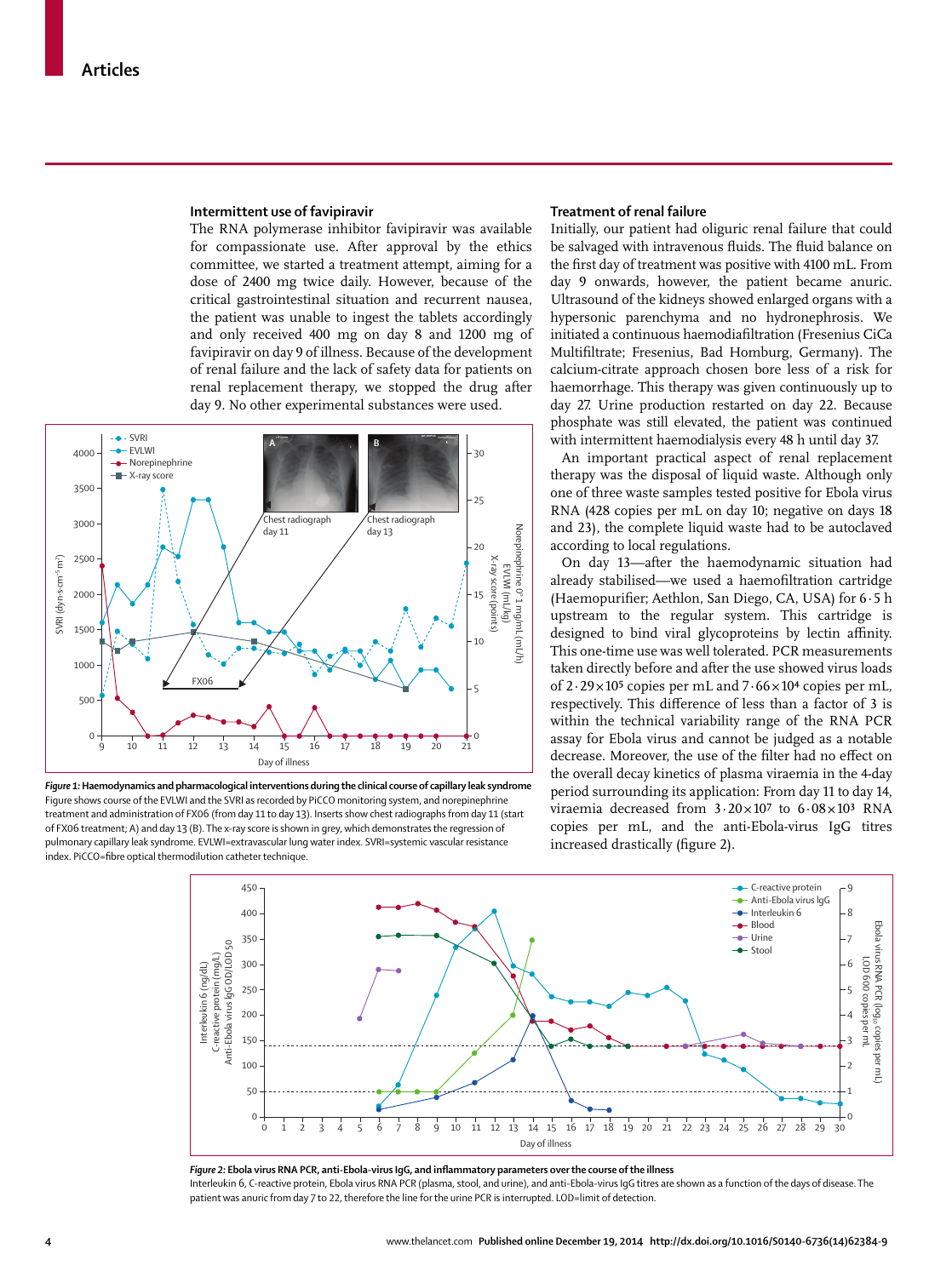#### **Intermittent use of favipiravir**

The RNA polymerase inhibitor favipiravir was available for compassionate use. After approval by the ethics committee, we started a treatment attempt, aiming for a dose of 2400 mg twice daily. However, because of the critical gastrointestinal situation and recurrent nausea, the patient was unable to ingest the tablets accordingly and only received 400 mg on day 8 and 1200 mg of favipiravir on day 9 of illness. Because of the development of renal failure and the lack of safety data for patients on renal replacement therapy, we stopped the drug after day 9. No other experimental substances were used.



*Figure 1:* **Haemodynamics and pharmacological interventions during the clinical course of capillary leak syndrome** Figure shows course of the EVLWI and the SVRI as recorded by PiCCO monitoring system, and norepinephrine treatment and administration of FX06 (from day 11 to day 13). Inserts show chest radiographs from day 11 (start of FX06 treatment; A) and day 13 (B). The x-ray score is shown in grey, which demonstrates the regression of pulmonary capillary leak syndrome. EVLWI=extravascular lung water index. SVRI=systemic vascular resistance index. PiCCO=fibre optical thermodilution catheter technique.

# **Treatment of renal failure**

Initially, our patient had oliguric renal failure that could be salvaged with intravenous fluids. The fluid balance on the first day of treatment was positive with 4100 mL. From day 9 onwards, however, the patient became anuric. Ultrasound of the kidneys showed enlarged organs with a hypersonic parenchyma and no hydronephrosis. We initiated a continuous haemodiafiltration (Fresenius CiCa Multifiltrate; Fresenius, Bad Homburg, Germany). The calcium-citrate approach chosen bore less of a risk for haemorrhage. This therapy was given continuously up to day 27. Urine production restarted on day 22. Because phosphate was still elevated, the patient was continued with intermittent haemodialysis every 48 h until day 37.

An important practical aspect of renal replacement therapy was the disposal of liquid waste. Although only one of three waste samples tested positive for Ebola virus RNA (428 copies per mL on day 10; negative on days 18 and 23), the complete liquid waste had to be autoclaved according to local regulations.

On day 13—after the haemodynamic situation had already stabilised—we used a haemofiltration cartridge (Haemopurifier; Aethlon, San Diego, CA, USA) for 6 · 5 h upstream to the regular system. This cartridge is designed to bind viral glycoproteins by lectin affinity. This one-time use was well tolerated. PCR measurements taken directly before and after the use showed virus loads of  $2.29 \times 10^5$  copies per mL and  $7.66 \times 10^4$  copies per mL, respectively. This difference of less than a factor of 3 is within the technical variability range of the RNA PCR assay for Ebola virus and cannot be judged as a notable decrease. Moreover, the use of the filter had no effect on the overall decay kinetics of plasma viraemia in the 4-day period surrounding its application: From day 11 to day 14, viraemia decreased from  $3.20 \times 10^{7}$  to  $6.08 \times 10^{3}$  RNA copies per mL, and the anti-Ebola-virus IgG titres increased drastically (figure 2).



Figure 2: Ebola virus RNA PCR, anti-Ebola-virus IgG, and inflammatory parameters over the course of the illness Interleukin 6, C-reactive protein, Ebola virus RNA PCR (plasma, stool, and urine), and anti-Ebola-virus IgG titres are shown as a function of the days of disease. The patient was anuric from day 7 to 22, therefore the line for the urine PCR is interrupted. LOD=limit of detection.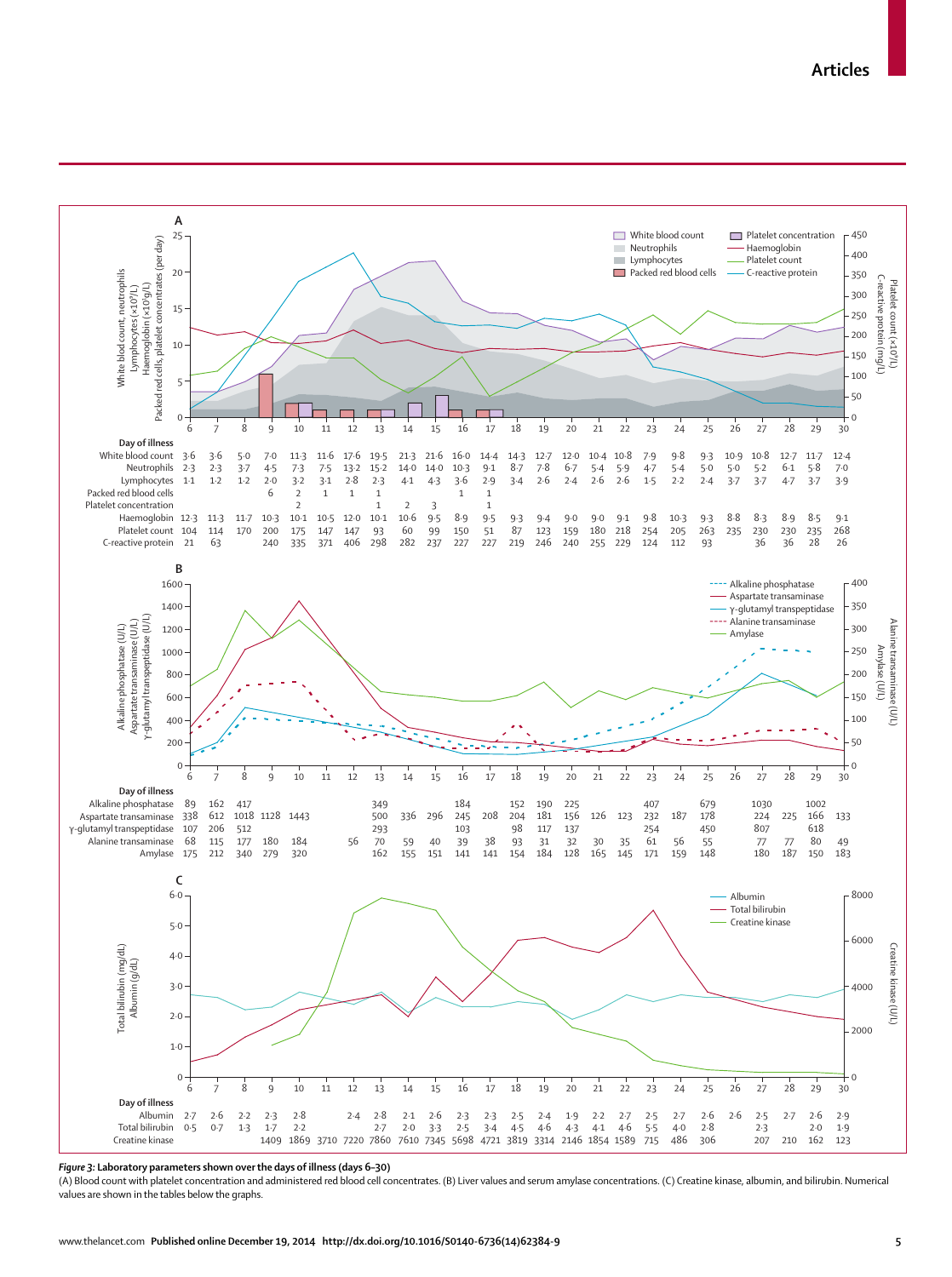

*Figure 3:* **Laboratory parameters shown over the days of illness (days 6–30)**

(A) Blood count with platelet concentration and administered red blood cell concentrates. (B) Liver values and serum amylase concentrations. (C) Creatine kinase, albumin, and bilirubin. Numerical values are shown in the tables below the graphs.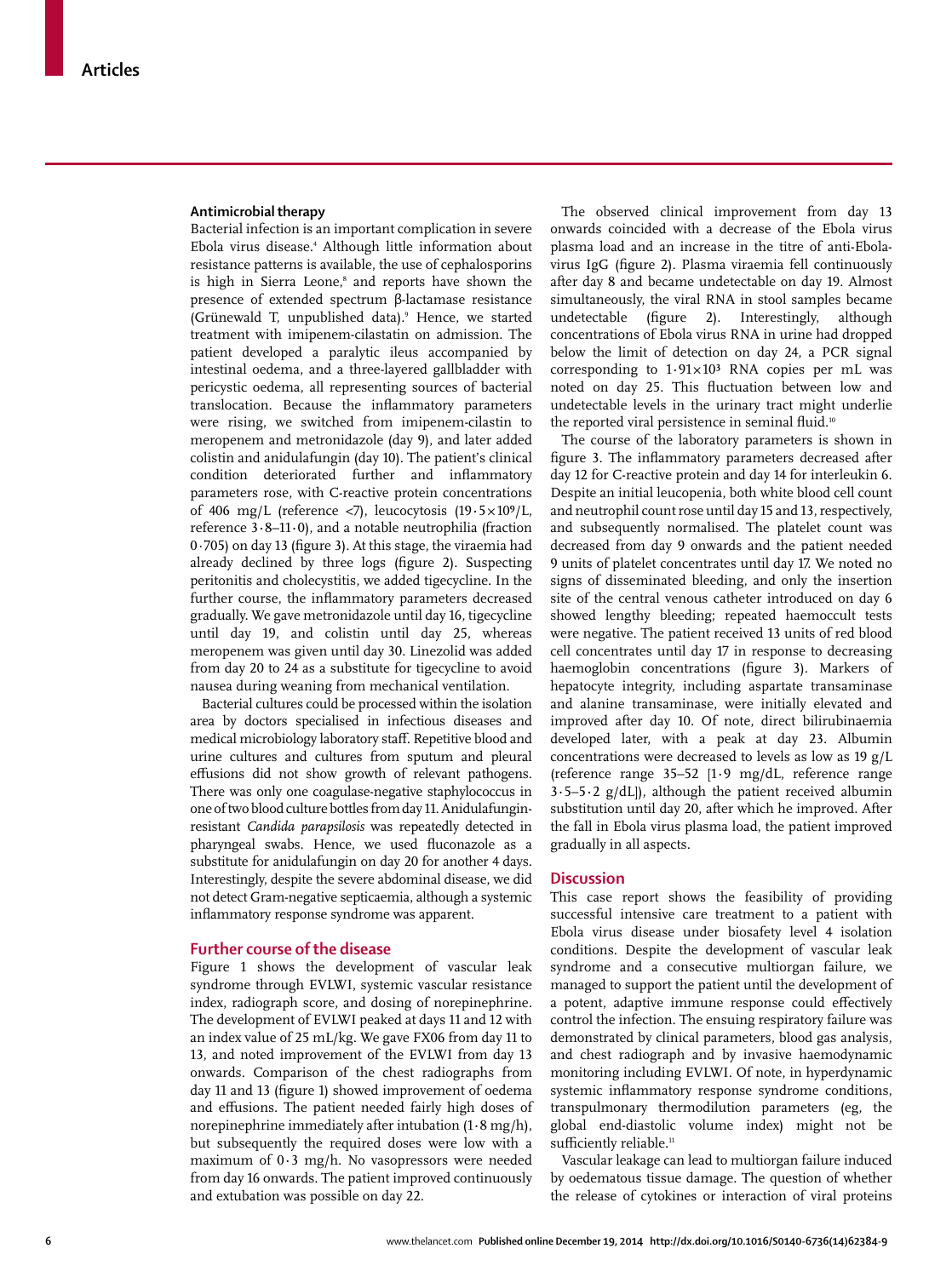#### **Antimicrobial therapy**

Bacterial infection is an important complication in severe Ebola virus disease.4 Although little information about resistance patterns is available, the use of cephalosporins is high in Sierra Leone,<sup>8</sup> and reports have shown the presence of extended spectrum β-lactamase resistance (Grünewald T, unpublished data).9 Hence, we started treatment with imipenem-cilastatin on admission. The patient developed a paralytic ileus accompanied by intestinal oedema, and a three-layered gallbladder with pericystic oedema, all representing sources of bacterial translocation. Because the inflammatory parameters were rising, we switched from imipenem-cilastin to meropenem and metronidazole (day 9), and later added colistin and anidulafungin (day 10). The patient's clinical condition deteriorated further and inflammatory parameters rose, with C-reactive protein concentrations of 406 mg/L (reference <7), leucocytosis (19**·**5 × 10⁹/L, reference 3**·**8–11**·**0), and a notable neutrophilia (fraction  $0.705$ ) on day 13 (figure 3). At this stage, the viraemia had already declined by three logs (figure 2). Suspecting peritonitis and cholecystitis, we added tigecycline. In the further course, the inflammatory parameters decreased gradually. We gave metronidazole until day 16, tigecycline until day 19, and colistin until day 25, whereas meropenem was given until day 30. Linezolid was added from day 20 to 24 as a substitute for tigecycline to avoid nausea during weaning from mechanical ventilation.

Bacterial cultures could be processed within the isolation area by doctors specialised in infectious diseases and medical microbiology laboratory staff. Repetitive blood and urine cultures and cultures from sputum and pleural effusions did not show growth of relevant pathogens. There was only one coagulase-negative staphylococcus in one of two blood culture bottles from day 11. Anidulafunginresistant *Candida parapsilosis* was repeatedly detected in pharyngeal swabs. Hence, we used fluconazole as a substitute for anidulafungin on day 20 for another 4 days. Interestingly, despite the severe abdominal disease, we did not detect Gram-negative septicaemia, although a systemic inflammatory response syndrome was apparent.

#### **Further course of the disease**

Figure 1 shows the development of vascular leak syndrome through EVLWI, systemic vascular resistance index, radiograph score, and dosing of norepinephrine*.*  The development of EVLWI peaked at days 11 and 12 with an index value of 25 mL/kg. We gave FX06 from day 11 to 13, and noted improvement of the EVLWI from day 13 onwards. Comparison of the chest radiographs from day 11 and 13 (figure 1) showed improvement of oedema and effusions. The patient needed fairly high doses of norepinephrine immediately after intubation (1**·**8 mg/h), but subsequently the required doses were low with a maximum of 0**·**3 mg/h. No vasopressors were needed from day 16 onwards. The patient improved continuously and extubation was possible on day 22.

The observed clinical improvement from day 13 onwards coincided with a decrease of the Ebola virus plasma load and an increase in the titre of anti-Ebolavirus IgG (figure 2). Plasma viraemia fell continuously after day 8 and became undetectable on day 19. Almost simultaneously, the viral RNA in stool samples became undetectable (figure 2). Interestingly, although concentrations of Ebola virus RNA in urine had dropped below the limit of detection on day 24, a PCR signal corresponding to  $1.91 \times 10^3$  RNA copies per mL was noted on day 25. This fluctuation between low and undetectable levels in the urinary tract might underlie the reported viral persistence in seminal fluid.<sup>10</sup>

The course of the laboratory parameters is shown in figure 3. The inflammatory parameters decreased after day 12 for C-reactive protein and day 14 for interleukin 6. Despite an initial leucopenia, both white blood cell count and neutrophil count rose until day 15 and 13, respectively, and subsequently normalised. The platelet count was decreased from day 9 onwards and the patient needed 9 units of platelet concentrates until day 17. We noted no signs of disseminated bleeding, and only the insertion site of the central venous catheter introduced on day 6 showed lengthy bleeding; repeated haemoccult tests were negative. The patient received 13 units of red blood cell concentrates until day 17 in response to decreasing haemoglobin concentrations (figure 3). Markers of hepatocyte integrity, including aspartate transaminase and alanine transaminase, were initially elevated and improved after day 10. Of note, direct bilirubinaemia developed later, with a peak at day 23. Albumin concentrations were decreased to levels as low as 19 g/L (reference range 35–52 [1**·**9 mg/dL, reference range 3**·**5–5**·**2 g/dL]), although the patient received albumin substitution until day 20, after which he improved. After the fall in Ebola virus plasma load, the patient improved gradually in all aspects.

#### **Discussion**

This case report shows the feasibility of providing successful intensive care treatment to a patient with Ebola virus disease under biosafety level 4 isolation conditions. Despite the development of vascular leak syndrome and a consecutive multiorgan failure, we managed to support the patient until the development of a potent, adaptive immune response could effectively control the infection. The ensuing respiratory failure was demonstrated by clinical parameters, blood gas analysis, and chest radiograph and by invasive haemodynamic monitoring including EVLWI. Of note, in hyperdynamic systemic inflammatory response syndrome conditions, transpulmonary thermodilution parameters (eg, the global end-diastolic volume index) might not be sufficiently reliable.<sup>11</sup>

Vascular leakage can lead to multiorgan failure induced by oedematous tissue damage. The question of whether the release of cytokines or interaction of viral proteins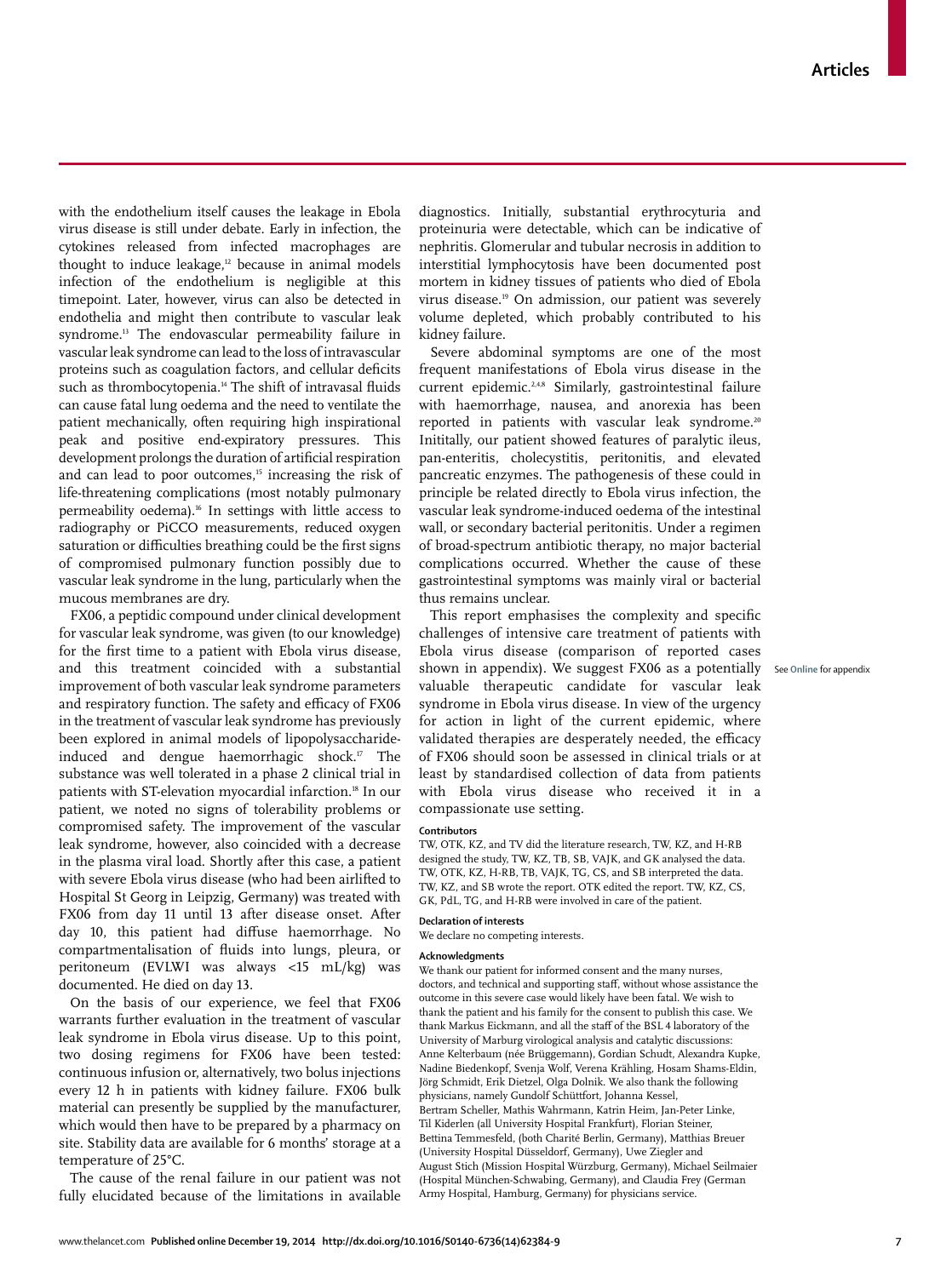with the endothelium itself causes the leakage in Ebola virus disease is still under debate. Early in infection, the cytokines released from infected macrophages are thought to induce leakage,<sup>12</sup> because in animal models infection of the endothelium is negligible at this timepoint. Later, however, virus can also be detected in endothelia and might then contribute to vascular leak syndrome.13 The endovascular permeability failure in vascular leak syndrome can lead to the loss of intravascular proteins such as coagulation factors, and cellular deficits such as thrombocytopenia.<sup>14</sup> The shift of intravasal fluids can cause fatal lung oedema and the need to ventilate the patient mechanically, often requiring high inspirational peak and positive end-expiratory pressures. This development prolongs the duration of artificial respiration and can lead to poor outcomes,<sup>15</sup> increasing the risk of life-threatening complications (most notably pulmonary permeability oedema).16 In settings with little access to radiography or PiCCO measurements, reduced oxygen saturation or difficulties breathing could be the first signs of compromised pulmonary function possibly due to vascular leak syndrome in the lung, particularly when the mucous membranes are dry.

FX06, a peptidic compound under clinical development for vascular leak syndrome, was given (to our knowledge) for the first time to a patient with Ebola virus disease, and this treatment coincided with a substantial improvement of both vascular leak syndrome parameters and respiratory function. The safety and efficacy of FX06 in the treatment of vascular leak syndrome has previously been explored in animal models of lipopolysaccharideinduced and dengue haemorrhagic shock.17 The substance was well tolerated in a phase 2 clinical trial in patients with ST-elevation myocardial infarction.<sup>18</sup> In our patient, we noted no signs of tolerability problems or compromised safety. The improvement of the vascular leak syndrome, however, also coincided with a decrease in the plasma viral load. Shortly after this case, a patient with severe Ebola virus disease (who had been airlifted to Hospital St Georg in Leipzig, Germany) was treated with FX06 from day 11 until 13 after disease onset. After day 10, this patient had diffuse haemorrhage. No compartmentalisation of fluids into lungs, pleura, or peritoneum (EVLWI was always <15 mL/kg) was documented. He died on day 13.

On the basis of our experience, we feel that FX06 warrants further evaluation in the treatment of vascular leak syndrome in Ebola virus disease. Up to this point, two dosing regimens for FX06 have been tested: continuous infusion or, alternatively, two bolus injections every 12 h in patients with kidney failure. FX06 bulk material can presently be supplied by the manufacturer, which would then have to be prepared by a pharmacy on site. Stability data are available for 6 months' storage at a temperature of 25°C.

The cause of the renal failure in our patient was not fully elucidated because of the limitations in available diagnostics. Initially, substantial erythrocyturia and proteinuria were detectable, which can be indicative of nephritis. Glomerular and tubular necrosis in addition to interstitial lymphocytosis have been documented post mortem in kidney tissues of patients who died of Ebola virus disease.19 On admission, our patient was severely volume depleted, which probably contributed to his kidney failure.

Severe abdominal symptoms are one of the most frequent manifestations of Ebola virus disease in the current epidemic.2,4,8 Similarly, gastrointestinal failure with haemorrhage, nausea, and anorexia has been reported in patients with vascular leak syndrome.<sup>20</sup> Inititally, our patient showed features of paralytic ileus, pan-enteritis, cholecystitis, peritonitis, and elevated pancreatic enzymes. The pathogenesis of these could in principle be related directly to Ebola virus infection, the vascular leak syndrome-induced oedema of the intestinal wall, or secondary bacterial peritonitis. Under a regimen of broad-spectrum antibiotic therapy, no major bacterial complications occurred. Whether the cause of these gastrointestinal symptoms was mainly viral or bacterial thus remains unclear.

This report emphasises the complexity and specific challenges of intensive care treatment of patients with Ebola virus disease (comparison of reported cases shown in appendix). We suggest FX06 as a potentially See **Online** for appendixvaluable therapeutic candidate for vascular leak syndrome in Ebola virus disease. In view of the urgency for action in light of the current epidemic, where validated therapies are desperately needed, the efficacy of FX06 should soon be assessed in clinical trials or at least by standardised collection of data from patients with Ebola virus disease who received it in a compassionate use setting.

#### **Contributors**

TW, OTK, KZ, and TV did the literature research, TW, KZ, and H-RB designed the study, TW, KZ, TB, SB, VAJK, and GK analysed the data. TW, OTK, KZ, H-RB, TB, VAJK, TG, CS, and SB interpreted the data. TW, KZ, and SB wrote the report. OTK edited the report. TW, KZ, CS, GK, PdL, TG, and H-RB were involved in care of the patient.

#### **Declaration of interests**

We declare no competing interests.

#### **Acknowledgments**

We thank our patient for informed consent and the many nurses, doctors, and technical and supporting staff, without whose assistance the outcome in this severe case would likely have been fatal. We wish to thank the patient and his family for the consent to publish this case. We thank Markus Eickmann, and all the staff of the BSL 4 laboratory of the University of Marburg virological analysis and catalytic discussions: Anne Kelterbaum (née Brüggemann), Gordian Schudt, Alexandra Kupke, Nadine Biedenkopf, Svenja Wolf, Verena Krähling, Hosam Shams-Eldin, Jörg Schmidt, Erik Dietzel, Olga Dolnik. We also thank the following physicians, namely Gundolf Schüttfort, Johanna Kessel, Bertram Scheller, Mathis Wahrmann, Katrin Heim, Jan-Peter Linke, Til Kiderlen (all University Hospital Frankfurt), Florian Steiner, Bettina Temmesfeld, (both Charité Berlin, Germany), Matthias Breuer (University Hospital Düsseldorf, Germany), Uwe Ziegler and August Stich (Mission Hospital Würzburg, Germany), Michael Seilmaier (Hospital München-Schwabing, Germany), and Claudia Frey (German Army Hospital, Hamburg, Germany) for physicians service.